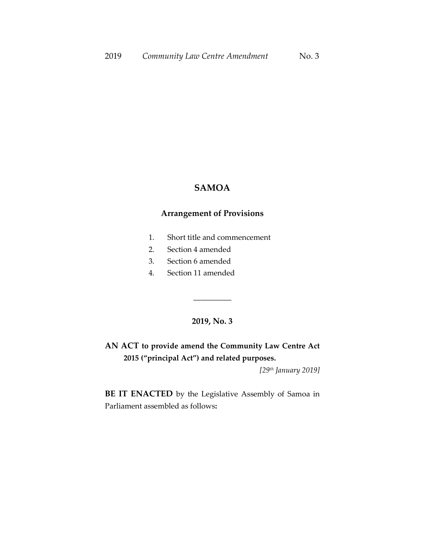# **SAMOA**

# **Arrangement of Provisions**

- 1. Short title and commencement
- 2. Section 4 amended
- 3. Section 6 amended
- 4. Section 11 amended

# **2019, No. 3**

\_\_\_\_\_\_\_\_\_\_

# **AN ACT to provide amend the Community Law Centre Act 2015 ("principal Act") and related purposes.**

*[29th January 2019]*

**BE IT ENACTED** by the Legislative Assembly of Samoa in Parliament assembled as follows**:**